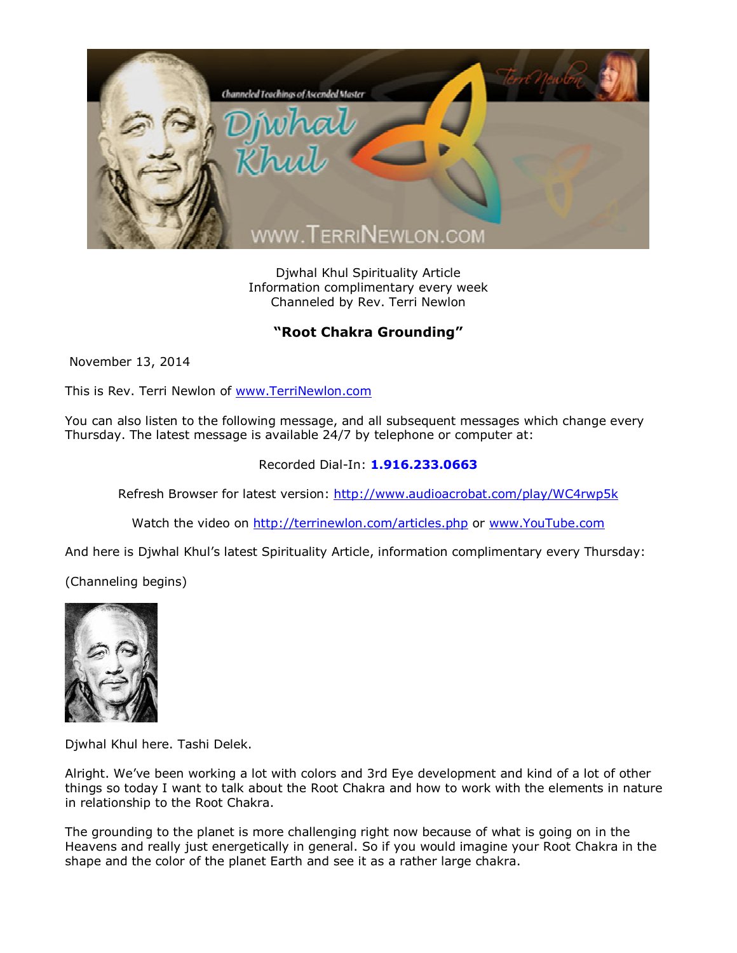

Djwhal Khul Spirituality Article Information complimentary every week Channeled by Rev. Terri Newlon

## **"Root Chakra Grounding"**

November 13, 2014

This is Rev. Terri Newlon of [www.TerriNewlon.com](http://www.terrinewlon.com/)

You can also listen to the following message, and all subsequent messages which change every Thursday. The latest message is available 24/7 by telephone or computer at:

## Recorded Dial-In: **1.916.233.0663**

Refresh Browser for latest version: <http://www.audioacrobat.com/play/WC4rwp5k>

Watch the video on <http://terrinewlon.com/articles.php> or [www.YouTube.com](http://www.youtube.com/)

And here is Djwhal Khul's latest Spirituality Article, information complimentary every Thursday:

(Channeling begins)



Djwhal Khul here. Tashi Delek.

Alright. We've been working a lot with colors and 3rd Eye development and kind of a lot of other things so today I want to talk about the Root Chakra and how to work with the elements in nature in relationship to the Root Chakra.

The grounding to the planet is more challenging right now because of what is going on in the Heavens and really just energetically in general. So if you would imagine your Root Chakra in the shape and the color of the planet Earth and see it as a rather large chakra.